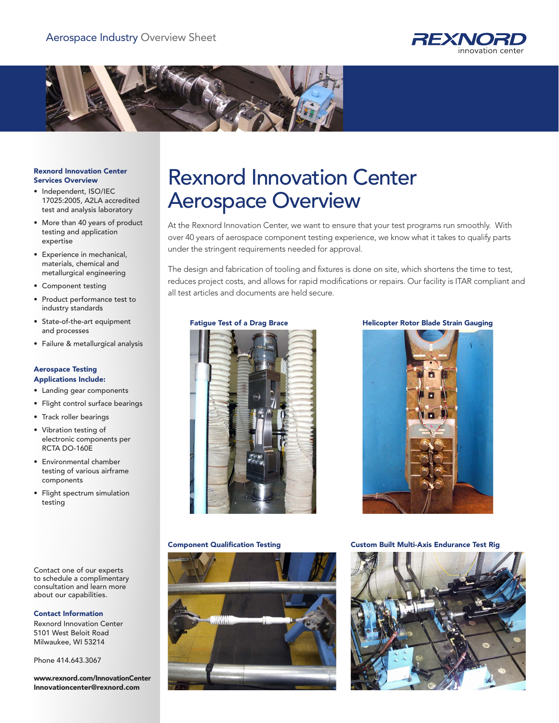



#### Rexnord Innovation Center Services Overview

- • Independent, ISO/IEC 17025:2005, A2LA accredited test and analysis laboratory
- More than 40 years of product testing and application expertise
- • Experience in mechanical, materials, chemical and metallurgical engineering
- • Component testing
- • Product performance test to industry standards
- • State-of-the-art equipment and processes
- • Failure & metallurgical analysis

### Aerospace Testing Applications Include:

- • Landing gear components
- • Flight control surface bearings
- • Track roller bearings
- • Vibration testing of electronic components per RCTA DO-160E
- • Environmental chamber testing of various airframe components
- • Flight spectrum simulation testing

Contact one of our experts to schedule a complimentary consultation and learn more about our capabilities.

#### Contact Information

Rexnord Innovation Center 5101 West Beloit Road Milwaukee, WI 53214

Phone 414.643.3067

www.rexnord.com/InnovationCenter Innovationcenter@rexnord.com

# Rexnord Innovation Center Aerospace Overview

At the Rexnord Innovation Center, we want to ensure that your test programs run smoothly. With over 40 years of aerospace component testing experience, we know what it takes to qualify parts under the stringent requirements needed for approval.

The design and fabrication of tooling and fixtures is done on site, which shortens the time to test, reduces project costs, and allows for rapid modifications or repairs. Our facility is ITAR compliant and all test articles and documents are held secure.





### Fatigue Test of a Drag Brace Helicopter Rotor Blade Strain Gauging



#### Component Qualification Testing Custom Built Multi-Axis Endurance Test Rig